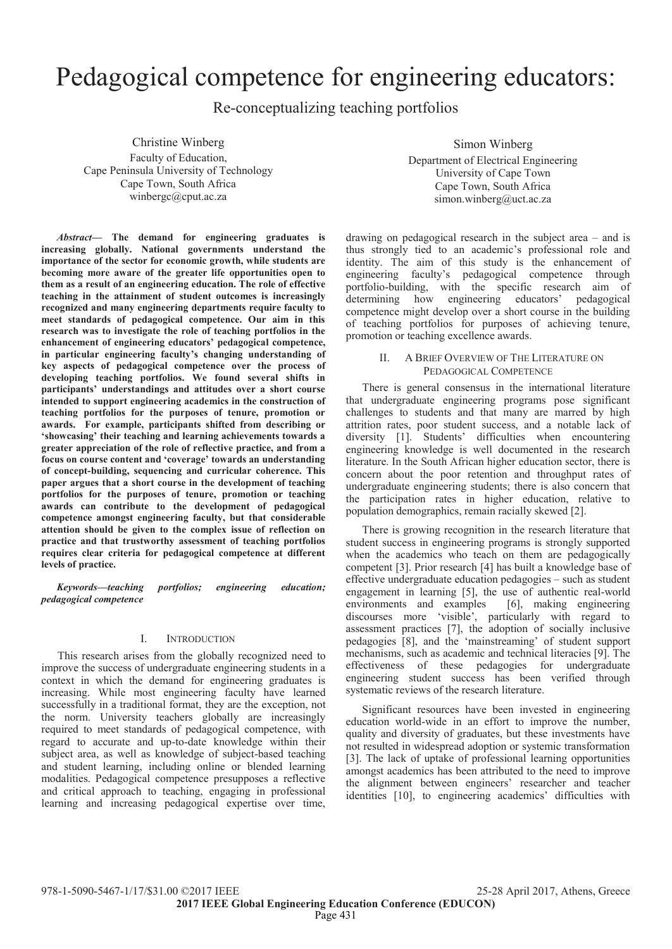# Pedagogical competence for engineering educators:

Re-conceptualizing teaching portfolios

Christine Winberg Faculty of Education, Cape Peninsula University of Technology Cape Town, South Africa winbergc@cput.ac.za

*Abstract***— The demand for engineering graduates is increasing globally. National governments understand the importance of the sector for economic growth, while students are becoming more aware of the greater life opportunities open to them as a result of an engineering education. The role of effective teaching in the attainment of student outcomes is increasingly recognized and many engineering departments require faculty to meet standards of pedagogical competence. Our aim in this research was to investigate the role of teaching portfolios in the enhancement of engineering educators' pedagogical competence, in particular engineering faculty's changing understanding of key aspects of pedagogical competence over the process of developing teaching portfolios. We found several shifts in participants' understandings and attitudes over a short course intended to support engineering academics in the construction of teaching portfolios for the purposes of tenure, promotion or awards. For example, participants shifted from describing or 'showcasing' their teaching and learning achievements towards a greater appreciation of the role of reflective practice, and from a focus on course content and 'coverage' towards an understanding of concept-building, sequencing and curricular coherence. This paper argues that a short course in the development of teaching portfolios for the purposes of tenure, promotion or teaching awards can contribute to the development of pedagogical competence amongst engineering faculty, but that considerable attention should be given to the complex issue of reflection on practice and that trustworthy assessment of teaching portfolios requires clear criteria for pedagogical competence at different levels of practice.** 

*Keywords—teaching portfolios; engineering education; pedagogical competence* 

#### I. INTRODUCTION

This research arises from the globally recognized need to improve the success of undergraduate engineering students in a context in which the demand for engineering graduates is increasing. While most engineering faculty have learned successfully in a traditional format, they are the exception, not the norm. University teachers globally are increasingly required to meet standards of pedagogical competence, with regard to accurate and up-to-date knowledge within their subject area, as well as knowledge of subject-based teaching and student learning, including online or blended learning modalities. Pedagogical competence presupposes a reflective and critical approach to teaching, engaging in professional learning and increasing pedagogical expertise over time,

Simon Winberg Department of Electrical Engineering University of Cape Town Cape Town, South Africa simon.winberg@uct.ac.za

drawing on pedagogical research in the subject area – and is thus strongly tied to an academic's professional role and identity. The aim of this study is the enhancement of engineering faculty's pedagogical competence through portfolio-building, with the specific research aim of determining how engineering educators' pedagogical competence might develop over a short course in the building of teaching portfolios for purposes of achieving tenure, promotion or teaching excellence awards.

#### II. A BRIEF OVERVIEW OF THE LITERATURE ON PEDAGOGICAL COMPETENCE

There is general consensus in the international literature that undergraduate engineering programs pose significant challenges to students and that many are marred by high attrition rates, poor student success, and a notable lack of diversity [1]. Students' difficulties when encountering engineering knowledge is well documented in the research literature. In the South African higher education sector, there is concern about the poor retention and throughput rates of undergraduate engineering students; there is also concern that the participation rates in higher education, relative to population demographics, remain racially skewed [2].

There is growing recognition in the research literature that student success in engineering programs is strongly supported when the academics who teach on them are pedagogically competent [3]. Prior research [4] has built a knowledge base of effective undergraduate education pedagogies – such as student engagement in learning [5], the use of authentic real-world environments and examples [6], making engineering discourses more 'visible', particularly with regard to assessment practices [7], the adoption of socially inclusive pedagogies [8], and the 'mainstreaming' of student support mechanisms, such as academic and technical literacies [9]. The effectiveness of these pedagogies for undergraduate engineering student success has been verified through systematic reviews of the research literature.

Significant resources have been invested in engineering education world-wide in an effort to improve the number, quality and diversity of graduates, but these investments have not resulted in widespread adoption or systemic transformation [3]. The lack of uptake of professional learning opportunities amongst academics has been attributed to the need to improve the alignment between engineers' researcher and teacher identities [10], to engineering academics' difficulties with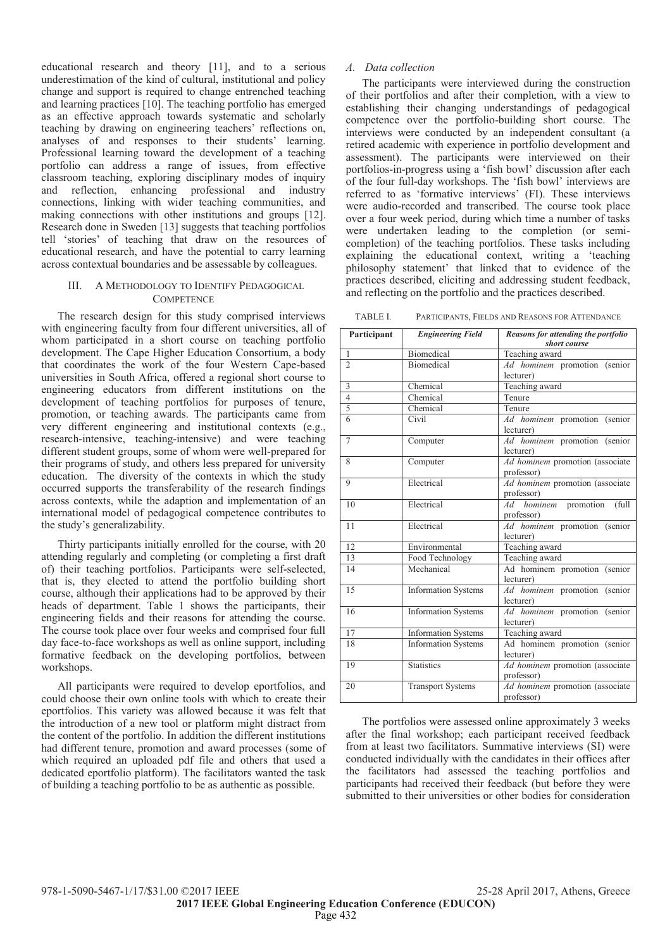educational research and theory [11], and to a serious underestimation of the kind of cultural, institutional and policy change and support is required to change entrenched teaching and learning practices [10]. The teaching portfolio has emerged as an effective approach towards systematic and scholarly teaching by drawing on engineering teachers' reflections on, analyses of and responses to their students' learning. Professional learning toward the development of a teaching portfolio can address a range of issues, from effective classroom teaching, exploring disciplinary modes of inquiry and reflection, enhancing professional and industry connections, linking with wider teaching communities, and making connections with other institutions and groups [12]. Research done in Sweden [13] suggests that teaching portfolios tell 'stories' of teaching that draw on the resources of educational research, and have the potential to carry learning across contextual boundaries and be assessable by colleagues.

### III. A METHODOLOGY TO IDENTIFY PEDAGOGICAL **COMPETENCE**

The research design for this study comprised interviews with engineering faculty from four different universities, all of whom participated in a short course on teaching portfolio development. The Cape Higher Education Consortium, a body that coordinates the work of the four Western Cape-based universities in South Africa, offered a regional short course to engineering educators from different institutions on the development of teaching portfolios for purposes of tenure, promotion, or teaching awards. The participants came from very different engineering and institutional contexts (e.g., research-intensive, teaching-intensive) and were teaching different student groups, some of whom were well-prepared for their programs of study, and others less prepared for university education. The diversity of the contexts in which the study occurred supports the transferability of the research findings across contexts, while the adaption and implementation of an international model of pedagogical competence contributes to the study's generalizability.

Thirty participants initially enrolled for the course, with 20 attending regularly and completing (or completing a first draft of) their teaching portfolios. Participants were self-selected, that is, they elected to attend the portfolio building short course, although their applications had to be approved by their heads of department. Table 1 shows the participants, their engineering fields and their reasons for attending the course. The course took place over four weeks and comprised four full day face-to-face workshops as well as online support, including formative feedback on the developing portfolios, between workshops.

All participants were required to develop eportfolios, and could choose their own online tools with which to create their eportfolios. This variety was allowed because it was felt that the introduction of a new tool or platform might distract from the content of the portfolio. In addition the different institutions had different tenure, promotion and award processes (some of which required an uploaded pdf file and others that used a dedicated eportfolio platform). The facilitators wanted the task of building a teaching portfolio to be as authentic as possible.

## *A. Data collection*

The participants were interviewed during the construction of their portfolios and after their completion, with a view to establishing their changing understandings of pedagogical competence over the portfolio-building short course. The interviews were conducted by an independent consultant (a retired academic with experience in portfolio development and assessment). The participants were interviewed on their portfolios-in-progress using a 'fish bowl' discussion after each of the four full-day workshops. The 'fish bowl' interviews are referred to as 'formative interviews' (FI). These interviews were audio-recorded and transcribed. The course took place over a four week period, during which time a number of tasks were undertaken leading to the completion (or semicompletion) of the teaching portfolios. These tasks including explaining the educational context, writing a 'teaching philosophy statement' that linked that to evidence of the practices described, eliciting and addressing student feedback, and reflecting on the portfolio and the practices described.

| Participant     | <b>Engineering Field</b>   | Reasons for attending the portfolio<br>short course |
|-----------------|----------------------------|-----------------------------------------------------|
| 1               | Biomedical                 | Teaching award                                      |
| $\overline{2}$  | Biomedical                 | Ad hominem promotion (senior                        |
|                 |                            | lecturer)                                           |
| 3               | Chemical                   | Teaching award                                      |
| $\overline{4}$  | Chemical                   | Tenure                                              |
| 5               | Chemical                   | Tenure                                              |
| $\overline{6}$  | Civil                      | Ad hominem promotion (senior<br>lecturer)           |
| $\tau$          | Computer                   | Ad hominem promotion (senior<br>lecturer)           |
| 8               | Computer                   | Ad hominem promotion (associate<br>professor)       |
| 9               | Electrical                 | Ad hominem promotion (associate<br>professor)       |
| 10              | Electrical                 | Ad hominem promotion<br>(full<br>professor)         |
| 11              | Electrical                 | Ad hominem promotion (senior<br>lecturer)           |
| 12              | Environmental              | Teaching award                                      |
| 13              | Food Technology            | Teaching award                                      |
| $\overline{14}$ | Mechanical                 | Ad hominem promotion (senior<br>lecturer)           |
| 15              | <b>Information Systems</b> | Ad hominem promotion (senior<br>lecturer)           |
| 16              | <b>Information Systems</b> | Ad hominem promotion (senior<br>lecturer)           |
| 17              | <b>Information Systems</b> | Teaching award                                      |
| 18              | <b>Information Systems</b> | Ad hominem promotion (senior<br>lecturer)           |
| 19              | <b>Statistics</b>          | Ad hominem promotion (associate<br>professor)       |
| 20              | <b>Transport Systems</b>   | Ad hominem promotion (associate<br>professor)       |

The portfolios were assessed online approximately 3 weeks after the final workshop; each participant received feedback from at least two facilitators. Summative interviews (SI) were conducted individually with the candidates in their offices after the facilitators had assessed the teaching portfolios and participants had received their feedback (but before they were submitted to their universities or other bodies for consideration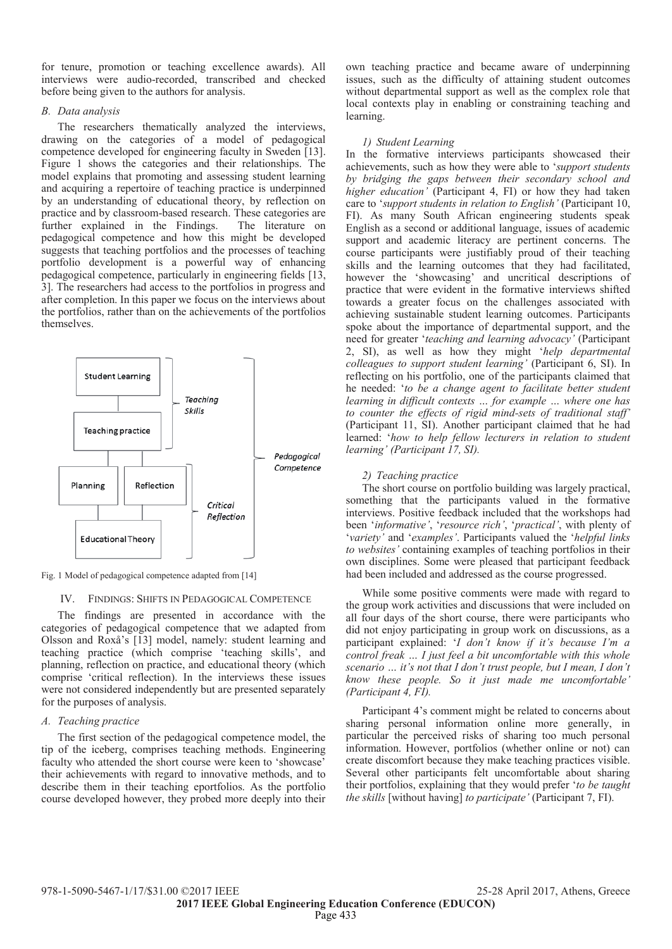for tenure, promotion or teaching excellence awards). All interviews were audio-recorded, transcribed and checked before being given to the authors for analysis.

### *B. Data analysis*

The researchers thematically analyzed the interviews, drawing on the categories of a model of pedagogical competence developed for engineering faculty in Sweden [13]. Figure 1 shows the categories and their relationships. The model explains that promoting and assessing student learning and acquiring a repertoire of teaching practice is underpinned by an understanding of educational theory, by reflection on practice and by classroom-based research. These categories are further explained in the Findings. The literature on pedagogical competence and how this might be developed suggests that teaching portfolios and the processes of teaching portfolio development is a powerful way of enhancing pedagogical competence, particularly in engineering fields [13, 3]. The researchers had access to the portfolios in progress and after completion. In this paper we focus on the interviews about the portfolios, rather than on the achievements of the portfolios themselves.



Fig. 1 Model of pedagogical competence adapted from [14]

#### IV. FINDINGS: SHIFTS IN PEDAGOGICAL COMPETENCE

The findings are presented in accordance with the categories of pedagogical competence that we adapted from Olsson and Roxå's [13] model, namely: student learning and teaching practice (which comprise 'teaching skills', and planning, reflection on practice, and educational theory (which comprise 'critical reflection). In the interviews these issues were not considered independently but are presented separately for the purposes of analysis.

### *A. Teaching practice*

The first section of the pedagogical competence model, the tip of the iceberg, comprises teaching methods. Engineering faculty who attended the short course were keen to 'showcase' their achievements with regard to innovative methods, and to describe them in their teaching eportfolios. As the portfolio course developed however, they probed more deeply into their

own teaching practice and became aware of underpinning issues, such as the difficulty of attaining student outcomes without departmental support as well as the complex role that local contexts play in enabling or constraining teaching and learning.

## *1) Student Learning*

In the formative interviews participants showcased their achievements, such as how they were able to '*support students by bridging the gaps between their secondary school and higher education'* (Participant 4, FI) or how they had taken care to '*support students in relation to English'* (Participant 10, FI). As many South African engineering students speak English as a second or additional language, issues of academic support and academic literacy are pertinent concerns. The course participants were justifiably proud of their teaching skills and the learning outcomes that they had facilitated, however the 'showcasing' and uncritical descriptions of practice that were evident in the formative interviews shifted towards a greater focus on the challenges associated with achieving sustainable student learning outcomes. Participants spoke about the importance of departmental support, and the need for greater '*teaching and learning advocacy'* (Participant 2, SI), as well as how they might '*help departmental colleagues to support student learning'* (Participant 6, SI). In reflecting on his portfolio, one of the participants claimed that he needed: '*to be a change agent to facilitate better student learning in difficult contexts … for example … where one has to counter the effects of rigid mind-sets of traditional staff'* (Participant 11, SI). Another participant claimed that he had learned: '*how to help fellow lecturers in relation to student learning' (Participant 17, SI).* 

## *2) Teaching practice*

The short course on portfolio building was largely practical, something that the participants valued in the formative interviews. Positive feedback included that the workshops had been '*informative'*, '*resource rich'*, '*practical'*, with plenty of '*variety'* and '*examples'*. Participants valued the '*helpful links to websites'* containing examples of teaching portfolios in their own disciplines. Some were pleased that participant feedback had been included and addressed as the course progressed.

While some positive comments were made with regard to the group work activities and discussions that were included on all four days of the short course, there were participants who did not enjoy participating in group work on discussions, as a participant explained: '*I don't know if it's because I'm a control freak … I just feel a bit uncomfortable with this whole scenario … it's not that I don't trust people, but I mean, I don't know these people. So it just made me uncomfortable' (Participant 4, FI).*

Participant 4's comment might be related to concerns about sharing personal information online more generally, in particular the perceived risks of sharing too much personal information. However, portfolios (whether online or not) can create discomfort because they make teaching practices visible. Several other participants felt uncomfortable about sharing their portfolios, explaining that they would prefer '*to be taught the skills* [without having] *to participate'* (Participant 7, FI).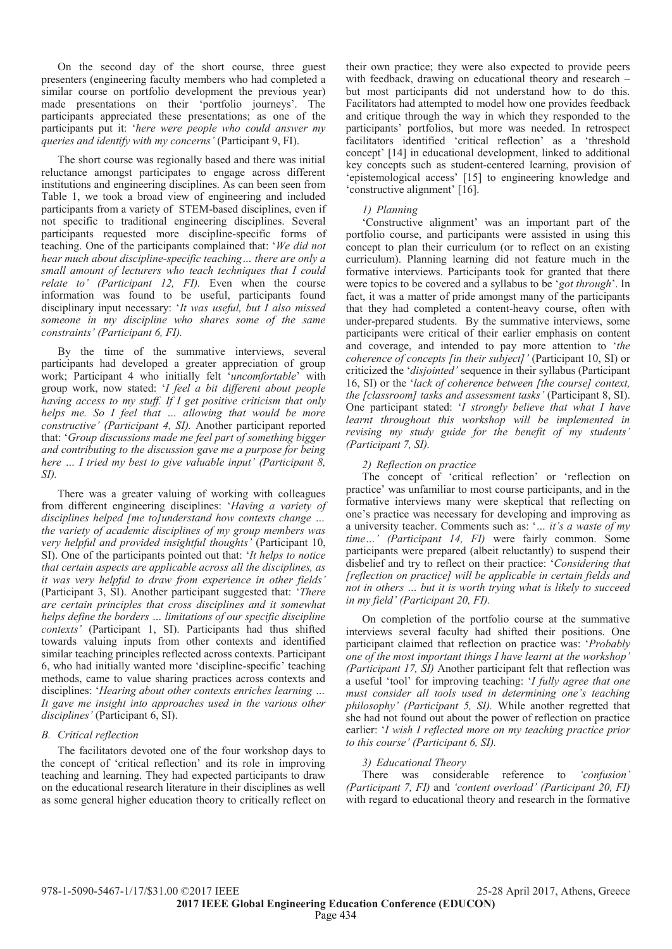On the second day of the short course, three guest presenters (engineering faculty members who had completed a similar course on portfolio development the previous year) made presentations on their 'portfolio journeys'. The participants appreciated these presentations; as one of the participants put it: '*here were people who could answer my queries and identify with my concerns'* (Participant 9, FI).

The short course was regionally based and there was initial reluctance amongst participates to engage across different institutions and engineering disciplines. As can been seen from Table 1, we took a broad view of engineering and included participants from a variety of STEM-based disciplines, even if not specific to traditional engineering disciplines. Several participants requested more discipline-specific forms of teaching. One of the participants complained that: '*We did not hear much about discipline-specific teaching… there are only a small amount of lecturers who teach techniques that I could relate to' (Participant 12, FI).* Even when the course information was found to be useful, participants found disciplinary input necessary: '*It was useful, but I also missed someone in my discipline who shares some of the same constraints' (Participant 6, FI).*

By the time of the summative interviews, several participants had developed a greater appreciation of group work; Participant 4 who initially felt '*uncomfortable*' with group work, now stated: '*I feel a bit different about people having access to my stuff. If I get positive criticism that only helps me. So I feel that … allowing that would be more constructive' (Participant 4, SI).* Another participant reported that: '*Group discussions made me feel part of something bigger and contributing to the discussion gave me a purpose for being here … I tried my best to give valuable input' (Participant 8, SI).*

There was a greater valuing of working with colleagues from different engineering disciplines: '*Having a variety of disciplines helped [me to]understand how contexts change … the variety of academic disciplines of my group members was very helpful and provided insightful thoughts'* (Participant 10, SI). One of the participants pointed out that: '*It helps to notice that certain aspects are applicable across all the disciplines, as it was very helpful to draw from experience in other fields'* (Participant 3, SI). Another participant suggested that: '*There are certain principles that cross disciplines and it somewhat helps define the borders … limitations of our specific discipline contexts'* (Participant 1, SI). Participants had thus shifted towards valuing inputs from other contexts and identified similar teaching principles reflected across contexts. Participant 6, who had initially wanted more 'discipline-specific' teaching methods, came to value sharing practices across contexts and disciplines: '*Hearing about other contexts enriches learning … It gave me insight into approaches used in the various other disciplines'* (Participant 6, SI).

## *B. Critical reflection*

The facilitators devoted one of the four workshop days to the concept of 'critical reflection' and its role in improving teaching and learning. They had expected participants to draw on the educational research literature in their disciplines as well as some general higher education theory to critically reflect on

their own practice; they were also expected to provide peers with feedback, drawing on educational theory and research – but most participants did not understand how to do this. Facilitators had attempted to model how one provides feedback and critique through the way in which they responded to the participants' portfolios, but more was needed. In retrospect facilitators identified 'critical reflection' as a 'threshold concept' [14] in educational development, linked to additional key concepts such as student-centered learning, provision of 'epistemological access' [15] to engineering knowledge and 'constructive alignment' [16].

## *1) Planning*

'Constructive alignment' was an important part of the portfolio course, and participants were assisted in using this concept to plan their curriculum (or to reflect on an existing curriculum). Planning learning did not feature much in the formative interviews. Participants took for granted that there were topics to be covered and a syllabus to be '*got through*'. In fact, it was a matter of pride amongst many of the participants that they had completed a content-heavy course, often with under-prepared students. By the summative interviews, some participants were critical of their earlier emphasis on content and coverage, and intended to pay more attention to '*the coherence of concepts [in their subject]'* (Participant 10, SI) or criticized the '*disjointed'* sequence in their syllabus (Participant 16, SI) or the '*lack of coherence between [the course] context, the [classroom] tasks and assessment tasks'* (Participant 8, SI). One participant stated: '*I strongly believe that what I have learnt throughout this workshop will be implemented in revising my study guide for the benefit of my students' (Participant 7, SI).*

## *2) Reflection on practice*

The concept of 'critical reflection' or 'reflection on practice' was unfamiliar to most course participants, and in the formative interviews many were skeptical that reflecting on one's practice was necessary for developing and improving as a university teacher. Comments such as: '*… it's a waste of my time…' (Participant 14, FI)* were fairly common. Some participants were prepared (albeit reluctantly) to suspend their disbelief and try to reflect on their practice: '*Considering that [reflection on practice] will be applicable in certain fields and not in others … but it is worth trying what is likely to succeed in my field' (Participant 20, FI).*

On completion of the portfolio course at the summative interviews several faculty had shifted their positions. One participant claimed that reflection on practice was: '*Probably one of the most important things I have learnt at the workshop' (Participant 17, SI)* Another participant felt that reflection was a useful 'tool' for improving teaching: '*I fully agree that one must consider all tools used in determining one's teaching philosophy' (Participant 5, SI).* While another regretted that she had not found out about the power of reflection on practice earlier: '*I wish I reflected more on my teaching practice prior to this course' (Participant 6, SI).* 

## *3) Educational Theory*

There was considerable reference to *'confusion' (Participant 7, FI)* and *'content overload' (Participant 20, FI)*  with regard to educational theory and research in the formative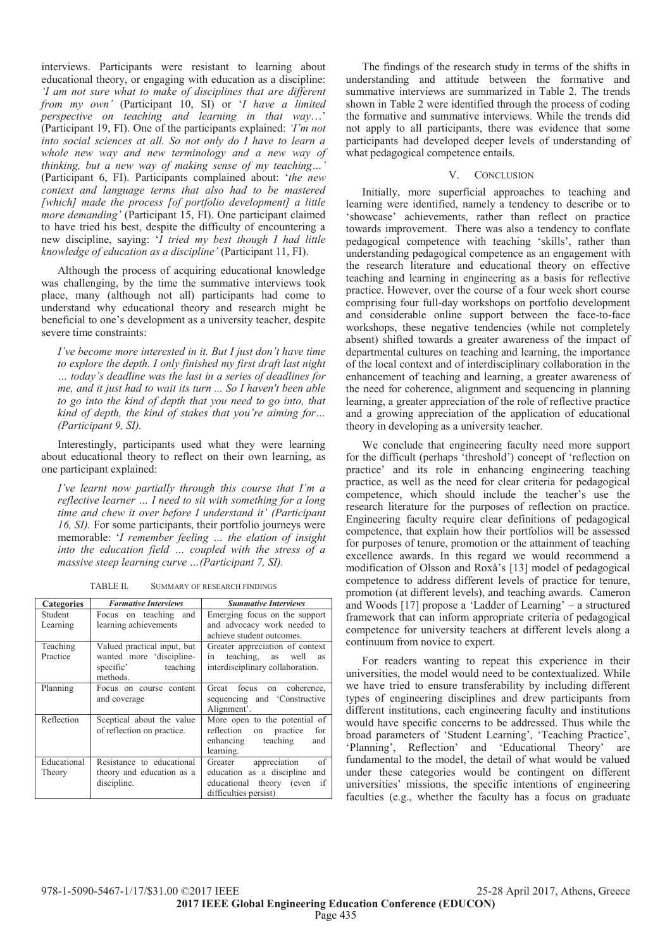interviews. Participants were resistant to learning about educational theory, or engaging with education as a discipline: *'I am not sure what to make of disciplines that are different from my own'* (Participant 10, SI) or '*I have a limited perspective on teaching and learning in that way*…' (Participant 19, FI). One of the participants explained: *'I'm not into social sciences at all. So not only do I have to learn a whole new way and new terminology and a new way of thinking, but a new way of making sense of my teaching…'* (Participant 6, FI). Participants complained about: '*the new context and language terms that also had to be mastered [which] made the process [of portfolio development] a little more demanding'* (Participant 15, FI). One participant claimed to have tried his best, despite the difficulty of encountering a new discipline, saying: '*I tried my best though I had little knowledge of education as a discipline'* (Participant 11, FI).

Although the process of acquiring educational knowledge was challenging, by the time the summative interviews took place, many (although not all) participants had come to understand why educational theory and research might be beneficial to one's development as a university teacher, despite severe time constraints:

*I've become more interested in it. But I just don't have time to explore the depth. I only finished my first draft last night … today's deadline was the last in a series of deadlines for me, and it just had to wait its turn ... So I haven't been able to go into the kind of depth that you need to go into, that kind of depth, the kind of stakes that you're aiming for… (Participant 9, SI).* 

Interestingly, participants used what they were learning about educational theory to reflect on their own learning, as one participant explained:

*I've learnt now partially through this course that I'm a reflective learner … I need to sit with something for a long time and chew it over before I understand it' (Participant 16, SI).* For some participants, their portfolio journeys were memorable: '*I remember feeling … the elation of insight into the education field … coupled with the stress of a massive steep learning curve …(Participant 7, SI).* 

| <b>Categories</b>     | <b>Formative Interviews</b>                                                               | <b>Summative Interviews</b>                                                                                               |
|-----------------------|-------------------------------------------------------------------------------------------|---------------------------------------------------------------------------------------------------------------------------|
| Student<br>Learning   | Focus on teaching<br>and<br>learning achievements                                         | Emerging focus on the support<br>and advocacy work needed to<br>achieve student outcomes.                                 |
| Teaching<br>Practice  | Valued practical input, but<br>wanted more 'discipline-<br>specific' teaching<br>methods. | Greater appreciation of context<br>teaching, as well<br>in<br>as<br>interdisciplinary collaboration.                      |
| Planning              | Focus on course content<br>and coverage                                                   | Great focus on coherence,<br>sequencing and 'Constructive<br>Alignment'.                                                  |
| Reflection            | Sceptical about the value<br>of reflection on practice.                                   | More open to the potential of<br>reflection on practice<br>for<br>enhancing teaching<br>and<br>learning.                  |
| Educational<br>Theory | Resistance to educational<br>theory and education as a<br>discipline.                     | appreciation<br>of<br>Greater<br>education as a discipline and<br>educational theory (even<br>if<br>difficulties persist) |

TABLE II. SUMMARY OF RESEARCH FINDINGS

The findings of the research study in terms of the shifts in understanding and attitude between the formative and summative interviews are summarized in Table 2. The trends shown in Table 2 were identified through the process of coding the formative and summative interviews. While the trends did not apply to all participants, there was evidence that some participants had developed deeper levels of understanding of what pedagogical competence entails.

## V. CONCLUSION

Initially, more superficial approaches to teaching and learning were identified, namely a tendency to describe or to 'showcase' achievements, rather than reflect on practice towards improvement. There was also a tendency to conflate pedagogical competence with teaching 'skills', rather than understanding pedagogical competence as an engagement with the research literature and educational theory on effective teaching and learning in engineering as a basis for reflective practice. However, over the course of a four week short course comprising four full-day workshops on portfolio development and considerable online support between the face-to-face workshops, these negative tendencies (while not completely absent) shifted towards a greater awareness of the impact of departmental cultures on teaching and learning, the importance of the local context and of interdisciplinary collaboration in the enhancement of teaching and learning, a greater awareness of the need for coherence, alignment and sequencing in planning learning, a greater appreciation of the role of reflective practice and a growing appreciation of the application of educational theory in developing as a university teacher.

We conclude that engineering faculty need more support for the difficult (perhaps 'threshold') concept of 'reflection on practice' and its role in enhancing engineering teaching practice, as well as the need for clear criteria for pedagogical competence, which should include the teacher's use the research literature for the purposes of reflection on practice. Engineering faculty require clear definitions of pedagogical competence, that explain how their portfolios will be assessed for purposes of tenure, promotion or the attainment of teaching excellence awards. In this regard we would recommend a modification of Olsson and Roxå's [13] model of pedagogical competence to address different levels of practice for tenure, promotion (at different levels), and teaching awards. Cameron and Woods [17] propose a 'Ladder of Learning' – a structured framework that can inform appropriate criteria of pedagogical competence for university teachers at different levels along a continuum from novice to expert.

For readers wanting to repeat this experience in their universities, the model would need to be contextualized. While we have tried to ensure transferability by including different types of engineering disciplines and drew participants from different institutions, each engineering faculty and institutions would have specific concerns to be addressed. Thus while the broad parameters of 'Student Learning', 'Teaching Practice', 'Planning', Reflection' and 'Educational Theory' are fundamental to the model, the detail of what would be valued under these categories would be contingent on different universities' missions, the specific intentions of engineering faculties (e.g., whether the faculty has a focus on graduate